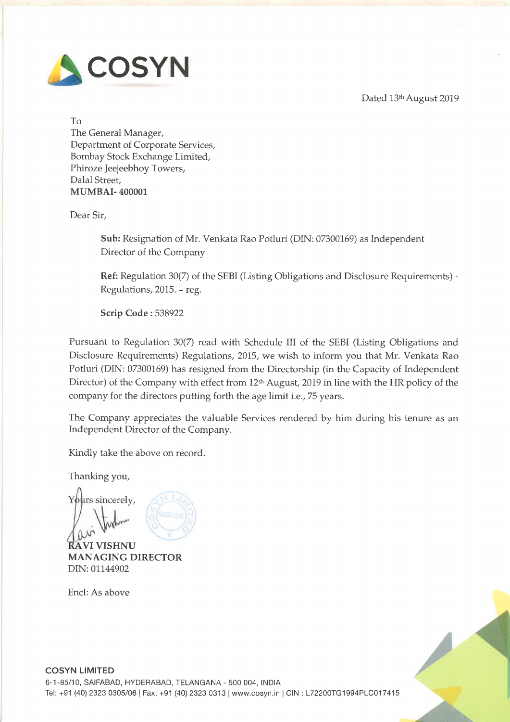Dated 13th August 2019



To The General Manager, Department of Corporate Services, Bombay Stock Exchange Limited, Phiroze Jeejeebhoy Towers, Dalal Street, MUMBAI- 400001

Dear Sir,

Sub: Resignation of Mr. Venkata Rao Potluri (DIN: 07300169) as Independent Director of the Company

Ref: Regulation 30(7) of the SEBI (Listing Obligations and Disclosure Requirements) - Regulations, 2015. — reg.

Scrip Code : 538922

Pursuant to Regulation 30(7) read with Schedule III of the SEBI (Listing Obligations and Disclosure Requirements) Regulations, 2015, we wish to inform you that Mr. Venkata Rao Potluri (DIN: 07300169) has resigned from the Directorship (in the Capacity of Independent Director) of the Company with effect from 12<sup>th</sup> August, 2019 in line with the HR policy of the company for the directors putting forth the age limit i.e., <sup>75</sup> years.

The Company appreciates the valuable Services rendered by him during his tenure as an Independent Director of the Company.

Kindly take the above on record.

Thanking you,

Yours sincerely, A W<sup>WW</sup> MANAGING DIRECTOR DIN: 01144902

Encl: As above